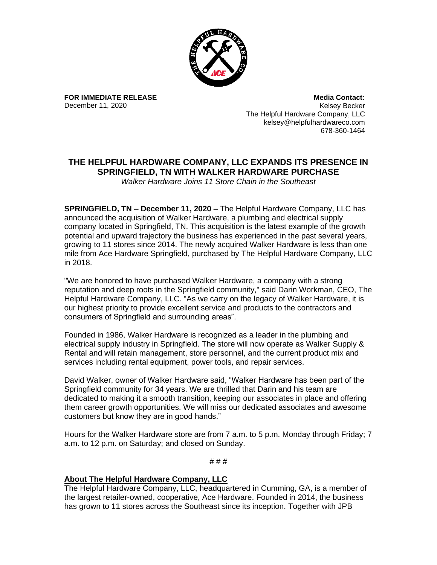

**FOR IMMEDIATE RELEASE** December 11, 2020

**Media Contact:** Kelsey Becker The Helpful Hardware Company, LLC kelsey@helpfulhardwareco.com 678-360-1464

## **THE HELPFUL HARDWARE COMPANY, LLC EXPANDS ITS PRESENCE IN SPRINGFIELD, TN WITH WALKER HARDWARE PURCHASE**

*Walker Hardware Joins 11 Store Chain in the Southeast*

**SPRINGFIELD, TN – December 11, 2020 –** The Helpful Hardware Company, LLC has announced the acquisition of Walker Hardware, a plumbing and electrical supply company located in Springfield, TN. This acquisition is the latest example of the growth potential and upward trajectory the business has experienced in the past several years, growing to 11 stores since 2014. The newly acquired Walker Hardware is less than one mile from Ace Hardware Springfield, purchased by The Helpful Hardware Company, LLC in 2018.

"We are honored to have purchased Walker Hardware, a company with a strong reputation and deep roots in the Springfield community," said Darin Workman, CEO, The Helpful Hardware Company, LLC. "As we carry on the legacy of Walker Hardware, it is our highest priority to provide excellent service and products to the contractors and consumers of Springfield and surrounding areas".

Founded in 1986, Walker Hardware is recognized as a leader in the plumbing and electrical supply industry in Springfield. The store will now operate as Walker Supply & Rental and will retain management, store personnel, and the current product mix and services including rental equipment, power tools, and repair services.

David Walker, owner of Walker Hardware said, "Walker Hardware has been part of the Springfield community for 34 years. We are thrilled that Darin and his team are dedicated to making it a smooth transition, keeping our associates in place and offering them career growth opportunities. We will miss our dedicated associates and awesome customers but know they are in good hands."

Hours for the Walker Hardware store are from 7 a.m. to 5 p.m. Monday through Friday; 7 a.m. to 12 p.m. on Saturday; and closed on Sunday.

# # #

## **About The Helpful Hardware Company, LLC**

The Helpful Hardware Company, LLC, headquartered in Cumming, GA, is a member of the largest retailer-owned, cooperative, Ace Hardware. Founded in 2014, the business has grown to 11 stores across the Southeast since its inception. Together with JPB